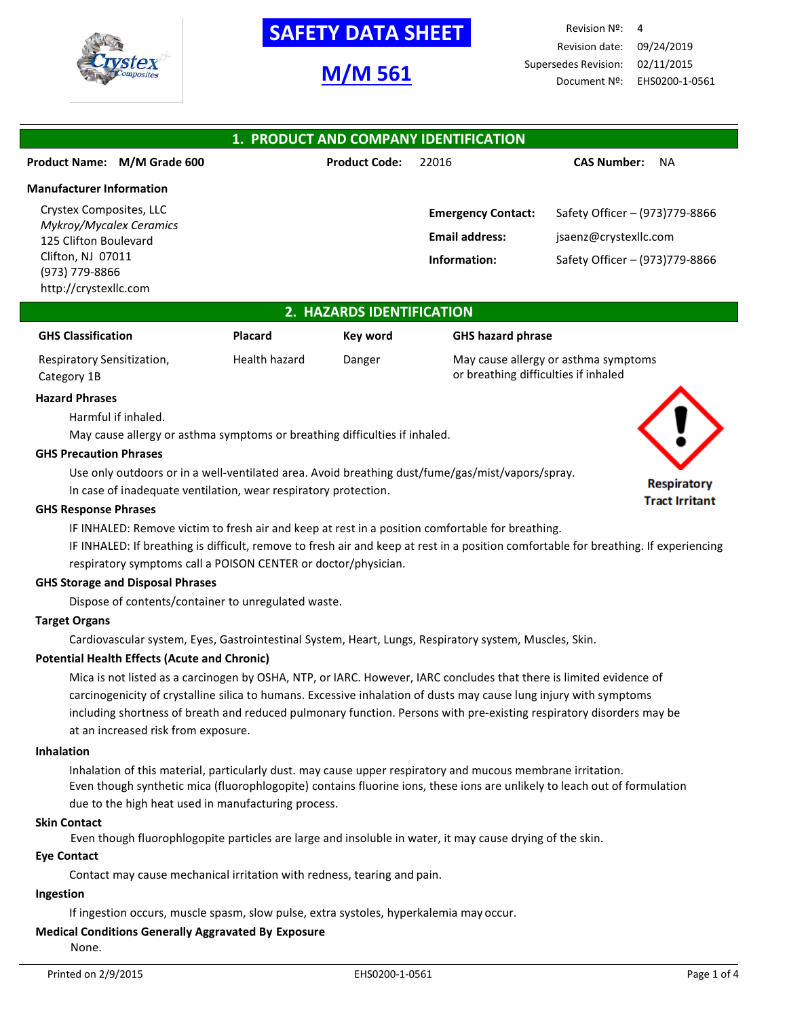

# **M/M 561**

Revision Nº: 4 Revision date: 09/24/2019 Supersedes Revision: 02/11/2015 Document Nº: EHS0200-1-0561

| 1. PRODUCT AND COMPANY IDENTIFICATION                   |                      |                           |                                 |  |  |
|---------------------------------------------------------|----------------------|---------------------------|---------------------------------|--|--|
| <b>Product Name:</b><br>M/M Grade 600                   | <b>Product Code:</b> | 22016                     | <b>CAS Number:</b><br><b>NA</b> |  |  |
| <b>Manufacturer Information</b>                         |                      |                           |                                 |  |  |
| Crystex Composites, LLC                                 |                      | <b>Emergency Contact:</b> | Safety Officer - (973)779-8866  |  |  |
| <b>Mykroy/Mycalex Ceramics</b><br>125 Clifton Boulevard |                      | <b>Email address:</b>     | jsaenz@crystexllc.com           |  |  |
| Clifton, NJ 07011                                       |                      | Information:              | Safety Officer - (973)779-8866  |  |  |
| (973) 779-8866<br>http://crystexllc.com                 |                      |                           |                                 |  |  |

## **2. HAZARDS IDENTIFICATION**

| <b>GHS Classification</b>  | Placard       | Kev word | <b>GHS hazard phrase</b>             |
|----------------------------|---------------|----------|--------------------------------------|
| Respiratory Sensitization, | Health hazard | Danger   | May cause allergy or asthma symptoms |
| Category 1B                |               |          | or breathing difficulties if inhaled |

#### **Hazard Phrases**

Harmful if inhaled.

May cause allergy or asthma symptoms or breathing difficulties if inhaled.

#### **GHS Precaution Phrases**

Use only outdoors or in a well-ventilated area. Avoid breathing dust/fume/gas/mist/vapors/spray.

In case of inadequate ventilation, wear respiratory protection.

## **GHS Response Phrases**

IF INHALED: Remove victim to fresh air and keep at rest in a position comfortable for breathing.

IF INHALED: If breathing is difficult, remove to fresh air and keep at rest in a position comfortable for breathing. If experiencing respiratory symptoms call a POISON CENTER or doctor/physician.

## **GHS Storage and Disposal Phrases**

Dispose of contents/container to unregulated waste.

## **Target Organs**

Cardiovascular system, Eyes, Gastrointestinal System, Heart, Lungs, Respiratory system, Muscles, Skin.

### **Potential Health Effects (Acute and Chronic)**

Mica is not listed as a carcinogen by OSHA, NTP, or IARC. However, IARC concludes that there is limited evidence of carcinogenicity of crystalline silica to humans. Excessive inhalation of dusts may cause lung injury with symptoms including shortness of breath and reduced pulmonary function. Persons with pre-existing respiratory disorders may be at an increased risk from exposure.

#### **Inhalation**

Inhalation of this material, particularly dust. may cause upper respiratory and mucous membrane irritation. Even though synthetic mica (fluorophlogopite) contains fluorine ions, these ions are unlikely to leach out of formulation due to the high heat used in manufacturing process.

#### **Skin Contact**

Even though fluorophlogopite particles are large and insoluble in water, it may cause drying of the skin.

### **Eye Contact**

Contact may cause mechanical irritation with redness, tearing and pain.

#### **Ingestion**

If ingestion occurs, muscle spasm, slow pulse, extra systoles, hyperkalemia may occur.

## **Medical Conditions Generally Aggravated By Exposure**

None.

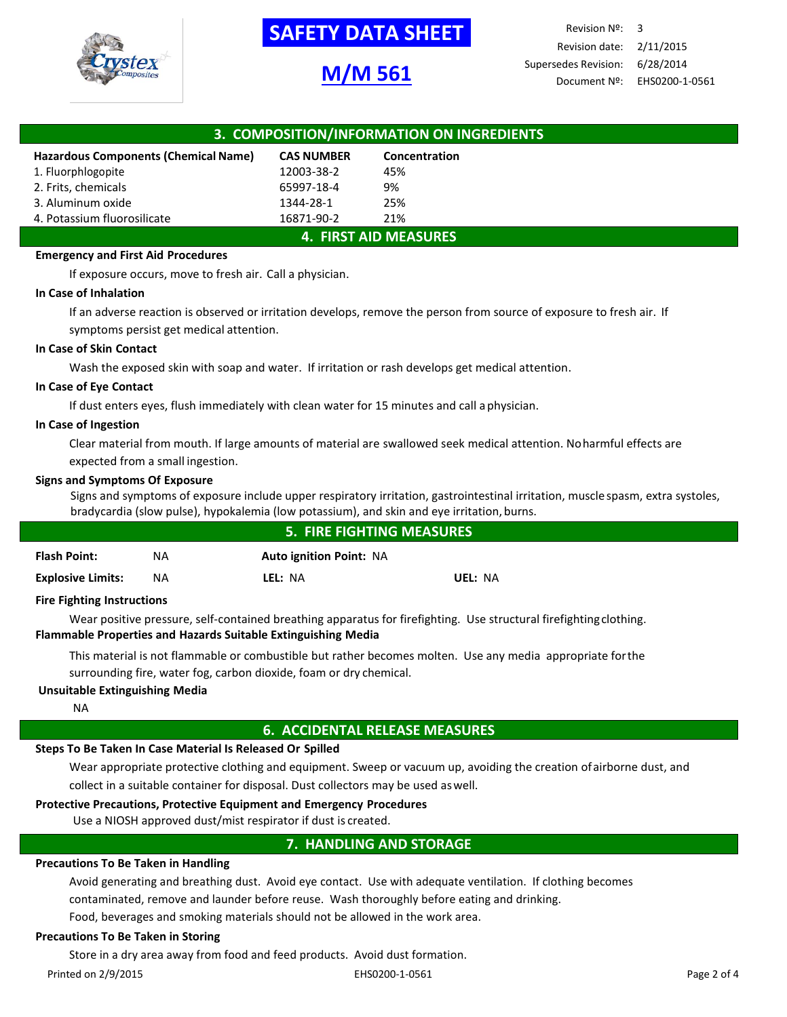

# **M/M 561**

Revision Nº: 3 Revision date: 2/11/2015 Supersedes Revision: 6/28/2014 Document Nº: EHS0200-1-0561

| 3. COMPOSITION/INFORMATION ON INGREDIENTS |                   |               |  |
|-------------------------------------------|-------------------|---------------|--|
| Hazardous Components (Chemical Name)      | <b>CAS NUMBER</b> | Concentration |  |
| 1. Fluorphlogopite                        | 12003-38-2        | 45%           |  |
| 2. Frits, chemicals                       | 65997-18-4        | 9%            |  |
| 3. Aluminum oxide                         | 1344-28-1         | 25%           |  |
| 4. Potassium fluorosilicate               | 16871-90-2        | 21%           |  |
| <b>4. FIRST AID MEASURES</b>              |                   |               |  |

## **Emergency and First Aid Procedures**

If exposure occurs, move to fresh air. Call a physician.

### **In Case of Inhalation**

If an adverse reaction is observed or irritation develops, remove the person from source of exposure to fresh air. If symptoms persist get medical attention.

## **In Case of Skin Contact**

Wash the exposed skin with soap and water. If irritation or rash develops get medical attention.

### **In Case of Eye Contact**

If dust enters eyes, flush immediately with clean water for 15 minutes and call aphysician.

### **In Case of Ingestion**

Clear material from mouth. If large amounts of material are swallowed seek medical attention. Noharmful effects are expected from a small ingestion.

## **Signs and Symptoms Of Exposure**

Signs and symptoms of exposure include upper respiratory irritation, gastrointestinal irritation, muscle spasm, extra systoles, bradycardia (slow pulse), hypokalemia (low potassium), and skin and eye irritation, burns.

| <b>5. FIRE FIGHTING MEASURES</b>  |     |                                |         |  |
|-----------------------------------|-----|--------------------------------|---------|--|
| <b>Flash Point:</b>               | ΝA  | <b>Auto ignition Point: NA</b> |         |  |
| <b>Explosive Limits:</b>          | NA. | LEL: NA                        | UEL: NA |  |
| <b>Fire Fighting Instructions</b> |     |                                |         |  |

## **Fire Fighting Instructions**

Wear positive pressure, self-contained breathing apparatus for firefighting. Use structural firefightingclothing. **Flammable Properties and Hazards Suitable Extinguishing Media**

This material is not flammable or combustible but rather becomes molten. Use any media appropriate forthe surrounding fire, water fog, carbon dioxide, foam or dry chemical.

## **Unsuitable Extinguishing Media**

NA

## **6. ACCIDENTAL RELEASE MEASURES**

## **Steps To Be Taken In Case Material Is Released Or Spilled**

Wear appropriate protective clothing and equipment. Sweep or vacuum up, avoiding the creation ofairborne dust, and collect in a suitable container for disposal. Dust collectors may be used aswell.

## **Protective Precautions, Protective Equipment and Emergency Procedures**

Use a NIOSH approved dust/mist respirator if dust is created.

## **7. HANDLING AND STORAGE**

## **Precautions To Be Taken in Handling**

Avoid generating and breathing dust. Avoid eye contact. Use with adequate ventilation. If clothing becomes contaminated, remove and launder before reuse. Wash thoroughly before eating and drinking.

Food, beverages and smoking materials should not be allowed in the work area.

## **Precautions To Be Taken in Storing**

Store in a dry area away from food and feed products. Avoid dust formation.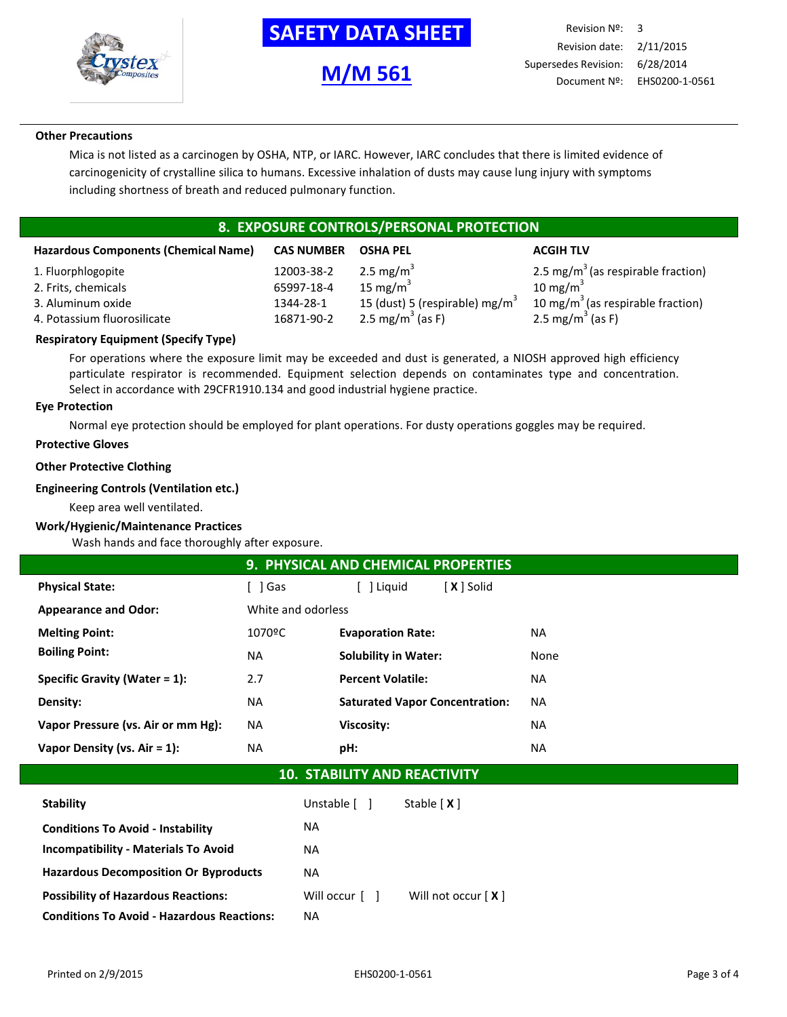

**M/M 561**

## **Other Precautions**

Mica is not listed as a carcinogen by OSHA, NTP, or IARC. However, IARC concludes that there is limited evidence of carcinogenicity of crystalline silica to humans. Excessive inhalation of dusts may cause lung injury with symptoms including shortness of breath and reduced pulmonary function.

# **8. EXPOSURE CONTROLS/PERSONAL PROTECTION**

| <b>Hazardous Components (Chemical Name)</b> | <b>CAS NUMBER</b> | <b>OSHA PEL</b>                            | <b>ACGIH TLV</b>                               |
|---------------------------------------------|-------------------|--------------------------------------------|------------------------------------------------|
| 1. Fluorphlogopite                          | 12003-38-2        | 2.5 mg/m <sup>3</sup>                      | 2.5 mg/m <sup>3</sup> (as respirable fraction) |
| 2. Frits, chemicals                         | 65997-18-4        | 15 mg/m $3$                                | 10 mg/m $3$                                    |
| 3. Aluminum oxide                           | 1344-28-1         | 15 (dust) 5 (respirable) mg/m <sup>3</sup> | 10 mg/m <sup>3</sup> (as respirable fraction)  |
| 4. Potassium fluorosilicate                 | 16871-90-2        | 2.5 mg/m <sup>3</sup> (as F)               | 2.5 mg/m <sup>3</sup> (as F)                   |

## **Respiratory Equipment (Specify Type)**

For operations where the exposure limit may be exceeded and dust is generated, a NIOSH approved high efficiency particulate respirator is recommended. Equipment selection depends on contaminates type and concentration. Select in accordance with 29CFR1910.134 and good industrial hygiene practice.

#### **Eye Protection**

Normal eye protection should be employed for plant operations. For dusty operations goggles may be required.

## **Protective Gloves**

### **Other Protective Clothing**

#### **Engineering Controls (Ventilation etc.)**

Keep area well ventilated.

### **Work/Hygienic/Maintenance Practices**

Wash hands and face thoroughly after exposure.

| 9. PHYSICAL AND CHEMICAL PROPERTIES |                    |                                       |           |  |
|-------------------------------------|--------------------|---------------------------------------|-----------|--|
| <b>Physical State:</b>              | l Gas              | [ <b>X</b> ] Solid<br>l Liguid        |           |  |
| <b>Appearance and Odor:</b>         | White and odorless |                                       |           |  |
| <b>Melting Point:</b>               | 1070ºC             | <b>Evaporation Rate:</b>              | <b>NA</b> |  |
| <b>Boiling Point:</b>               | <b>NA</b>          | <b>Solubility in Water:</b>           | None      |  |
| Specific Gravity (Water = $1$ ):    | 2.7                | <b>Percent Volatile:</b>              | NA.       |  |
| Density:                            | <b>NA</b>          | <b>Saturated Vapor Concentration:</b> | <b>NA</b> |  |
| Vapor Pressure (vs. Air or mm Hg):  | <b>NA</b>          | Viscosity:                            | <b>NA</b> |  |
| Vapor Density (vs. $Air = 1$ ):     | <b>NA</b>          | pH:                                   | <b>NA</b> |  |

## **10. STABILITY AND REACTIVITY**

| <b>Stability</b>                                  | Unstable [ ]   | Stable $[X]$         |
|---------------------------------------------------|----------------|----------------------|
| <b>Conditions To Avoid - Instability</b>          | <b>NA</b>      |                      |
| <b>Incompatibility - Materials To Avoid</b>       | <b>NA</b>      |                      |
| <b>Hazardous Decomposition Or Byproducts</b>      | <b>NA</b>      |                      |
| <b>Possibility of Hazardous Reactions:</b>        | Will occur [ ] | Will not occur $[X]$ |
| <b>Conditions To Avoid - Hazardous Reactions:</b> | <b>NA</b>      |                      |